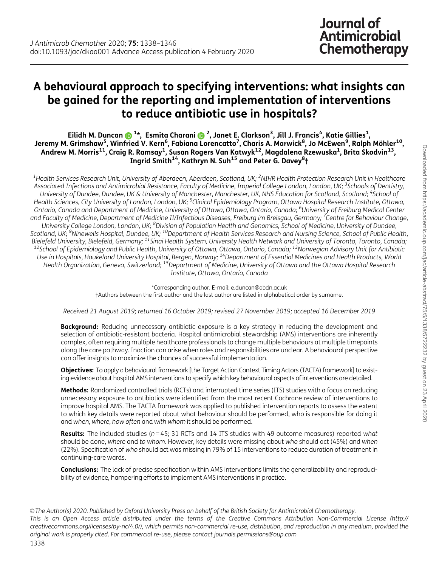# A behavioural approach to specifying interventions: what insights can be gained for the reporting and implementation of interventions to reduce antibiotic use in hospitals?

Eilidh M. Duncan ���� 1\*, Esmita Charani �������, Janet E. Clarkson $^3$ , Jill J. Francis $^4$ , Katie Gillies $^1$ , Jeremy M. Grimshaw<sup>5</sup>, Winfried V. Kern<sup>6</sup>, Fabiana Lorencatto<sup>7</sup>, Charis A. Marwick<sup>8</sup>, Jo McEwen<sup>9</sup>, Ralph Möhler<sup>10</sup>, Andrew M. Morris $^{\rm 11}$ , Craig R. Ramsay $^{\rm 1}$ , Susan Rogers Van Katwyk $^{\rm 12}$ , Magdalena Rzewuska $^{\rm 1}$ , Brita Skodvin $^{\rm 13}$ , Ingrid Smith<sup>14</sup>, Kathryn N. Suh<sup>15</sup> and Peter G. Davey<sup>8</sup>†

 $^{\rm 1}$ Health Services Research Unit, University of Aberdeen, Aberdeen, Scotland, UK; <sup>2</sup>NIHR Health Protection Research Unit in Healthcare Associated Infections and Antimicrobial Resistance, Faculty of Medicine, Imperial College London, London, UK; <sup>3</sup>Schools of Dentistry, University of Dundee, Dundee, UK & University of Manchester, Manchester, UK, NHS Education for Scotland, Scotland; <sup>4</sup>School of Health Sciences, City University of London, London, UK; <sup>5</sup>Clinical Epidemiology Program, Ottawa Hospital Research Institute, Ottawa, Ontario, Canada and Department of Medicine, University of Ottawa, Ottawa, Ontario, Canada; <sup>6</sup>University of Freiburg Medical Center and Faculty of Medicine, Department of Medicine II/Infectious Diseases, Freiburg im Breisgau, Germany; <sup>7</sup>Centre for Behaviour Change, University College London, London, UK; <sup>8</sup>Division of Population Health and Genomics, School of Medicine, University of Dundee, Scotland, UK; <sup>9</sup>Ninewells Hospital, Dundee, UK; <sup>10</sup>Department of Health Services Research and Nursing Science, School of Public Health, Bielefeld University, Bielefeld, Germany; <sup>11</sup>Sinai Health System, University Health Network and University of Toronto, Toronto, Canada;<br><sup>12</sup>School of Epidemiology and Public Health, University of Ottawa, Ottawa, Ontario, Use in Hospitals, Haukeland University Hospital, Bergen, Norway; 14Department of Essential Medicines and Health Products, World Health Organization, Geneva, Switzerland; <sup>15</sup>Department of Medicine, University of Ottawa and the Ottawa Hospital Research Institute, Ottawa, Ontario, Canada

> \*Corresponding author. E-mail: e.duncan@abdn.ac.uk †Authors between the first author and the last author are listed in alphabetical order by surname.

Received 21 August 2019; returned 16 October 2019; revised 27 November 2019; accepted 16 December 2019

**Background:** Reducing unnecessary antibiotic exposure is a key strategy in reducing the development and selection of antibiotic-resistant bacteria. Hospital antimicrobial stewardship (AMS) interventions are inherently complex, often requiring multiple healthcare professionals to change multiple behaviours at multiple timepoints along the care pathway. Inaction can arise when roles and responsibilities are unclear. A behavioural perspective can offer insights to maximize the chances of successful implementation.

Objectives: To apply a behavioural framework [the Target Action Context Timing Actors (TACTA) framework] to existing evidence about hospital AMS interventions to specify which key behavioural aspects of interventions are detailed.

Methods: Randomized controlled trials (RCTs) and interrupted time series (ITS) studies with a focus on reducing unnecessary exposure to antibiotics were identified from the most recent Cochrane review of interventions to improve hospital AMS. The TACTA framework was applied to published intervention reports to assess the extent to which key details were reported about what behaviour should be performed, who is responsible for doing it and when, where, how often and with whom it should be performed.

**Results:** The included studies ( $n = 45$ ; 31 RCTs and 14 ITS studies with 49 outcome measures) reported what should be done, where and to whom. However, key details were missing about who should act (45%) and when (22%). Specification of who should act was missing in 79% of 15 interventions to reduce duration of treatment in continuing-care wards.

Conclusions: The lack of precise specification within AMS interventions limits the generalizability and reproducibility of evidence, hampering efforts to implement AMS interventions in practice.

V<sup>C</sup> The Author(s) 2020. Published by Oxford University Press on behalf of the British Society for Antimicrobial Chemotherapy. This is an Open Access article distributed under the terms of the Creative Commons Attribution Non-Commercial License (http:// creativecommons.org/licenses/by-nc/4.0/), which permits non-commercial re-use, distribution, and reproduction in any medium, provided the original work is properly cited. For commercial re-use, please contact journals.permissions@oup.com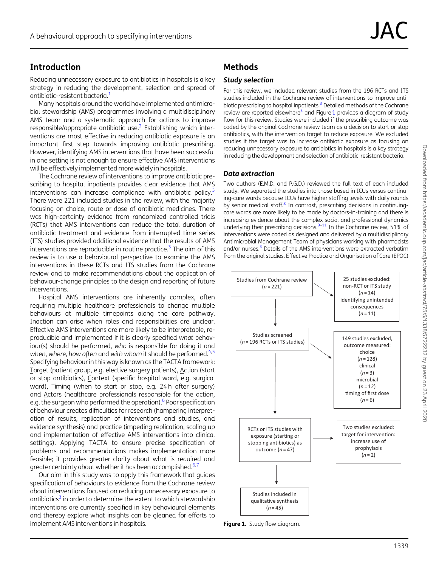# <span id="page-1-0"></span>**Introduction**

Reducing unnecessary exposure to antibiotics in hospitals is a key strategy in reducing the development, selection and spread of antibiotic-resistant bacteria[.1](#page-6-0)

Many hospitals around the world have implemented antimicrobial stewardship (AMS) programmes involving a multidisciplinary AMS team and a systematic approach for actions to improve responsible/appropriate antibiotic use[.2](#page-6-0) Establishing which interventions are most effective in reducing antibiotic exposure is an important first step towards improving antibiotic prescribing. However, identifying AMS interventions that have been successful in one setting is not enough to ensure effective AMS interventions will be effectively implemented more widely in hospitals.

The Cochrane review of interventions to improve antibiotic prescribing to hospital inpatients provides clear evidence that AMS interventions can increase compliance with antibiotic policy.<sup>3</sup> There were 221 included studies in the review, with the majority focusing on choice, route or dose of antibiotic medicines. There was high-certainty evidence from randomized controlled trials (RCTs) that AMS interventions can reduce the total duration of antibiotic treatment and evidence from interrupted time series (ITS) studies provided additional evidence that the results of AMS interventions are reproducible in routine practice.<sup>3</sup> The aim of this review is to use a behavioural perspective to examine the AMS interventions in these RCTs and ITS studies from the Cochrane review and to make recommendations about the application of behaviour-change principles to the design and reporting of future interventions.

Hospital AMS interventions are inherently complex, often requiring multiple healthcare professionals to change multiple behaviours at multiple timepoints along the care pathway. Inaction can arise when roles and responsibilities are unclear. Effective AMS interventions are more likely to be interpretable, reproducible and implemented if it is clearly specified what behaviour(s) should be performed, who is responsible for doing it and when, where, how often and with whom it should be performed. $4.5$ Specifying behaviour in this way is known as the TACTA framework: Target (patient group, e.g. elective surgery patients), Action (start or stop antibiotics), Context (specific hospital ward, e.g. surgical ward), Timing (when to start or stop, e.g. 24 h after surgery) and Actors (healthcare professionals responsible for the action, e.g. the surgeon who performed the operation).<sup>6</sup> Poor specification of behaviour creates difficulties for research (hampering interpretation of results, replication of interventions and studies, and evidence synthesis) and practice (impeding replication, scaling up and implementation of effective AMS interventions into clinical settings). Applying TACTA to ensure precise specification of problems and recommendations makes implementation more feasible; it provides greater clarity about what is required and greater certainty about whether it has been accomplished. $6,7$ 

Our aim in this study was to apply this framework that guides specification of behaviours to evidence from the Cochrane review about interventions focused on reducing unnecessary exposure to antibiotics<sup>3</sup> in order to determine the extent to which stewardship interventions are currently specified in key behavioural elements and thereby explore what insights can be gleaned for efforts to implement AMS interventions in hospitals.

# Methods

### Study selection

For this review, we included relevant studies from the 196 RCTs and ITS studies included in the Cochrane review of interventions to improve antibiotic prescribing to hospital inpatients.<sup>3</sup> Detailed methods of the Cochrane review are reported elsewhere<sup>3</sup> and Figure 1 provides a diagram of study flow for this review. Studies were included if the prescribing outcome was coded by the original Cochrane review team as a decision to start or stop antibiotics, with the intervention target to reduce exposure. We excluded studies if the target was to increase antibiotic exposure as focusing on reducing unnecessary exposure to antibiotics in hospitals is a key strategy in reducing the development and selection of antibiotic-resistant bacteria.

### Data extraction

Two authors (E.M.D. and P.G.D.) reviewed the full text of each included study. We separated the studies into those based in ICUs versus continuing-care wards because ICUs have higher staffing levels with daily rounds by senior medical staff.<sup>8</sup> In contrast, prescribing decisions in continuingcare wards are more likely to be made by doctors-in-training and there is increasing evidence about the complex social and professional dynamics underlying their prescribing decisions.  $9-11$  In the Cochrane review, 51% of interventions were coded as designed and delivered by a multidisciplinary Antimicrobial Management Team of physicians working with pharmacists and/or nurses.<sup>3</sup> Details of the AMS interventions were extracted verbatim from the original studies. Effective Practice and Organisation of Care (EPOC)



Downloaded from https://academic.oup.com/jac/article-abstract/75/5/1338/5722232 by guest on 23 April 2020 Downloaded from https://academic.oup.com/jac/article-abstract/75/5/1338/5722232 by guest on 23 April 2020

Figure 1. Study flow diagram.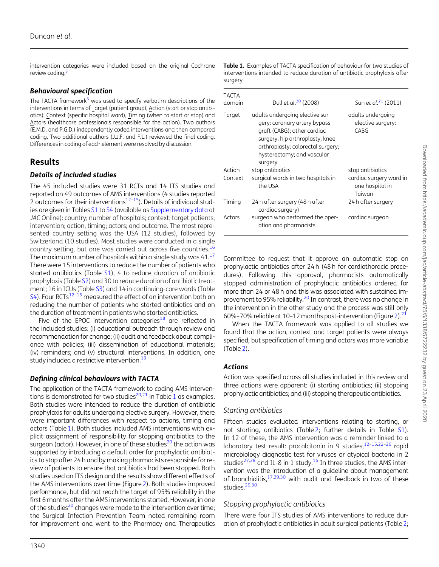<span id="page-2-0"></span>intervention categories were included based on the original Cochrane review coding.<sup>3</sup>

#### Behavioural specification

The TACTA framework $6$  was used to specify verbatim descriptions of the interventions in terms of Target (patient group), Action (start or stop antibiotics), Context (specific hospital ward), Timing (when to start or stop) and Actors (healthcare professionals responsible for the action). Two authors (E.M.D. and P.G.D.) independently coded interventions and then compared coding. Two additional authors (J.J.F. and F.L.) reviewed the final coding. Differences in coding of each element were resolved by discussion.

## Results

#### Details of included studies

The 45 included studies were 31 RCTs and 14 ITS studies and reported on 49 outcomes of AMS interventions (4 studies reported 2 outcomes for their interventions $12-15$ ). Details of individual studies are given in Tables [S1](https://academic.oup.com/jac/article-lookup/doi/10.1093/jac/dkaa001#supplementary-data) to [S4](https://academic.oup.com/jac/article-lookup/doi/10.1093/jac/dkaa001#supplementary-data) (available as [Supplementary data](https://academic.oup.com/jac/article-lookup/doi/10.1093/jac/dkaa001#supplementary-data) at JAC Online): country; number of hospitals; context; target patients; intervention; action; timing; actors; and outcome. The most represented country setting was the USA (12 studies), followed by Switzerland (10 studies). Most studies were conducted in a single country setting, but one was carried out across five countries[.16](#page-6-0) The maximum number of hospitals within a single study was  $41.^{17}$ There were 15 interventions to reduce the number of patients who started antibiotics (Table [S1](https://academic.oup.com/jac/article-lookup/doi/10.1093/jac/dkaa001#supplementary-data)), 4 to reduce duration of antibiotic prophylaxis (Table [S2\)](https://academic.oup.com/jac/article-lookup/doi/10.1093/jac/dkaa001#supplementary-data) and 30 to reduce duration of antibiotic treatment; 16 in ICUs (Table [S3](https://academic.oup.com/jac/article-lookup/doi/10.1093/jac/dkaa001#supplementary-data)) and 14 in continuing-care wards (Table [S4\)](https://academic.oup.com/jac/article-lookup/doi/10.1093/jac/dkaa001#supplementary-data). Four RCTs $^{12-15}$  measured the effect of an intervention both on reducing the number of patients who started antibiotics and on the duration of treatment in patients who started antibiotics.

Five of the EPOC intervention categories<sup>18</sup> are reflected in the included studies: (i) educational outreach through review and recommendation for change; (ii) audit and feedback about compliance with policies; (iii) dissemination of educational materials; (iv) reminders; and (v) structural interventions. In addition, one study included a restrictive intervention.<sup>19</sup>

## Defining clinical behaviours with TACTA

The application of the TACTA framework to coding AMS interven-tions is demonstrated for two studies<sup>20,[21](#page-6-0)</sup> in Table 1 as examples. Both studies were intended to reduce the duration of antibiotic prophylaxis for adults undergoing elective surgery. However, there were important differences with respect to actions, timing and actors (Table 1). Both studies included AMS interventions with explicit assignment of responsibility for stopping antibiotics to the surgeon (actor). However, in one of these studies<sup>[20](#page-6-0)</sup> the action was supported by introducing a default order for prophylactic antibiotics to stop after 24 h and by making pharmacists responsible for review of patients to ensure that antibiotics had been stopped. Both studies used an ITS design and the results show different effects of the AMS interventions over time (Figure[2](#page-3-0)). Both studies improved performance, but did not reach the target of 95% reliability in the first 6 months after the AMS interventions started. However, in one of the studies $^{20}$  $^{20}$  $^{20}$  changes were made to the intervention over time; the Surgical Infection Prevention Team noted remaining room for improvement and went to the Pharmacy and Therapeutics

| Table 1. Examples of TACTA specification of behaviour for two studies of  |
|---------------------------------------------------------------------------|
| interventions intended to reduce duration of antibiotic prophylaxis after |
| surgery                                                                   |

| TACTA<br>domain | Dull et al. <sup>20</sup> (2008)                                                                                                                                                                                | Sun et al. <sup>21</sup> (2011)                      |
|-----------------|-----------------------------------------------------------------------------------------------------------------------------------------------------------------------------------------------------------------|------------------------------------------------------|
| Target          | adults undergoing elective sur-<br>gery: coronary artery bypass<br>graft (CABG); other cardiac<br>surgery; hip arthroplasty; knee<br>arthroplasty; colorectal surgery;<br>hysterectomy; and vascular<br>surgery | adults undergoing<br>elective surgery:<br>CABG       |
| Action          | stop antibiotics                                                                                                                                                                                                | stop antibiotics                                     |
| Context         | surgical wards in two hospitals in<br>the USA                                                                                                                                                                   | cardiac surgery ward in<br>one hospital in<br>Taiwan |
| Timing          | 24 h after surgery (48 h after<br>cardiac surgery)                                                                                                                                                              | 24 h after surgery                                   |
| Actors          | surgeon who performed the oper-<br>ation and pharmacists                                                                                                                                                        | cardiac surgeon                                      |

Committee to request that it approve an automatic stop on prophylactic antibiotics after 24 h (48 h for cardiothoracic procedures). Following this approval, pharmacists automatically stopped administration of prophylactic antibiotics ordered for more than 24 or 48 h and this was associated with sustained improvement to 95% reliability.<sup>20</sup> In contrast, there was no change in the intervention in the other study and the process was still only 60%–70% reliable at 10–1[2](#page-3-0) months post-intervention (Figure 2). $^{21}$ 

When the TACTA framework was applied to all studies we found that the action, context and target patients were always specified, but specification of timing and actors was more variable (Table [2\)](#page-3-0).

#### Actions

Action was specified across all studies included in this review and three actions were apparent: (i) starting antibiotics; (ii) stopping prophylactic antibiotics; and (iii) stopping therapeutic antibiotics.

#### Starting antibiotics

Fifteen studies evaluated interventions relating to starting, or not starting, antibiotics (Table [2;](#page-3-0) further details in Table [S1\)](https://academic.oup.com/jac/article-lookup/doi/10.1093/jac/dkaa001#supplementary-data). In 12 of these, the AMS intervention was a reminder linked to a laboratory test result: procalcitonin in 9 studies,  $12-15,22-26$  $12-15,22-26$  $12-15,22-26$  $12-15,22-26$  rapid microbiology diagnostic test for viruses or atypical bacteria in 2 studies<sup>27,28</sup> and IL-8 in 1 study.<sup>16</sup> In three studies, the AMS intervention was the introduction of a guideline about management of bronchiolitis, $17,29,30$  with audit and feedback in two of these studies.<sup>29,30</sup>

## Stopping prophylactic antibiotics

There were four ITS studies of AMS interventions to reduce duration of prophylactic antibiotics in adult surgical patients (Table [2;](#page-3-0)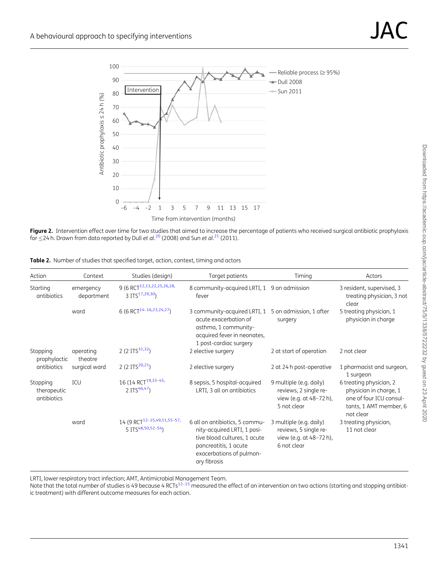<span id="page-3-0"></span>

**Figure 2.** Intervention effect over time for two studies that aimed to increase the percentage of patients who received surgical antibiotic prophylaxis for  $\leq$ 24 h. Drawn from data reported by Dull et al. $^{20}$  $^{20}$  $^{20}$  (2008) and Sun et al. $^{21}$  $^{21}$  $^{21}$  (2011).

| Action                                  | Context                 | Studies (design)                                                          | Target patients                                                                                                                                                    | Timing                                                                                     | Actors                                                                                                              |
|-----------------------------------------|-------------------------|---------------------------------------------------------------------------|--------------------------------------------------------------------------------------------------------------------------------------------------------------------|--------------------------------------------------------------------------------------------|---------------------------------------------------------------------------------------------------------------------|
| Starting<br>antibiotics                 | emergency<br>department | 9 (6 RCT <sup>12,13,22,25,26,28,</sup><br>3 ITS <sup>17,29,30</sup> )     | 8 community-acquired LRTI, 1 9 on admission<br>fever                                                                                                               |                                                                                            | 3 resident, supervised, 3<br>treating physician, 3 not<br>clear                                                     |
|                                         | ward                    | 6 (6 RCT <sup>14-16,23,24,27</sup> )                                      | 3 community-acquired LRTI, 1<br>acute exacerbation of<br>asthma, 1 community-<br>acquired fever in neonates,<br>1 post-cardiac surgery                             | 5 on admission, 1 after<br>surgery                                                         | 5 treating physician, 1<br>physician in charge                                                                      |
| Stopping<br>prophylactic<br>antibiotics | operating<br>theatre    | 2 (2 ITS <sup>31,32</sup> )                                               | 2 elective surgery                                                                                                                                                 | 2 at start of operation                                                                    | 2 not clear                                                                                                         |
|                                         | surgical ward           | 2 (2 ITS <sup>20,21</sup> )                                               | 2 elective surgery                                                                                                                                                 | 2 at 24 h post-operative                                                                   | 1 pharmacist and surgeon,<br>1 surgeon                                                                              |
| Stopping<br>therapeutic<br>antibiotics  | ICU                     | 16 (14 RCT <sup>19,33-45,</sup><br>2 ITS $46,47$                          | 8 sepsis, 5 hospital-acquired<br>LRTI, 3 all on antibiotics                                                                                                        | 9 multiple (e.g. daily)<br>reviews, 2 single re-<br>view (e.g. at 48-72 h),<br>5 not clear | 6 treating physician, 2<br>physician in charge, 1<br>one of four ICU consul-<br>tants, 1 AMT member, 6<br>not clear |
|                                         | ward                    | 14 (9 RCT <sup>12-15,49,51,55-57,</sup><br>5 ITS <sup>48,50,52-54</sup> ) | 6 all on antibiotics, 5 commu-<br>nity-acquired LRTI, 1 posi-<br>tive blood cultures, 1 acute<br>pancreatitis, 1 acute<br>exacerbations of pulmon-<br>ary fibrosis | 3 multiple (e.g. daily)<br>reviews, 5 single re-<br>view (e.g. at 48-72 h),<br>6 not clear | 3 treating physician,<br>11 not clear                                                                               |

LRTI, lower respiratory tract infection; AMT, Antimicrobial Management Team.<br>Note that the total number of studies is 49 because 4 RCTs<sup>12–15</sup> measured the effect of an intervention on two actions (starting and stopping an ic treatment) with different outcome measures for each action.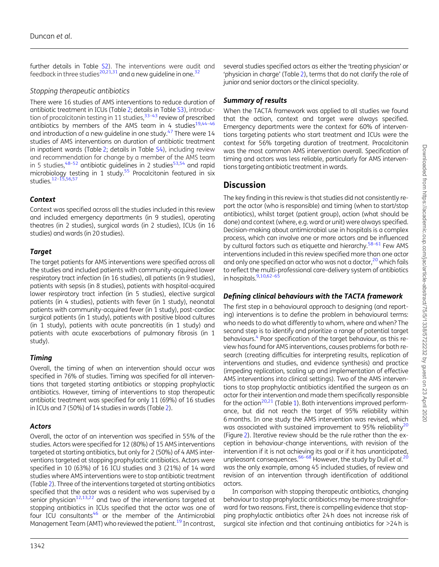<span id="page-4-0"></span>further details in Table [S2](https://academic.oup.com/jac/article-lookup/doi/10.1093/jac/dkaa001#supplementary-data)). The interventions were audit and feedback in three studies<sup>[20](#page-6-0),[21](#page-6-0),[31](#page-6-0)</sup> and a new quideline in one.<sup>32</sup>

#### Stopping therapeutic antibiotics

There were 16 studies of AMS interventions to reduce duration of antibiotic treatment in ICUs (Table[2;](#page-3-0) details in Table [S3\)](https://academic.oup.com/jac/article-lookup/doi/10.1093/jac/dkaa001#supplementary-data), introduction of procalcitonin testing in 11 studies,  $33-43$  review of prescribed antibiotics by members of the AMS team in 4 studies<sup>19,44-46</sup> and introduction of a new guideline in one study.<sup>[47](#page-7-0)</sup> There were 14 studies of AMS interventions on duration of antibiotic treatment in inpatient wards (Table [2;](#page-3-0) details in Table [S4](https://academic.oup.com/jac/article-lookup/doi/10.1093/jac/dkaa001#supplementary-data)), including review and recommendation for change by a member of the AMS team in 5 studies,  $48-52$  antibiotic guidelines in 2 studies  $53,54$  and rapid microbiology testing in 1 study.<sup>55</sup> Procalcitonin featured in six studies.[12](#page-6-0)–[15](#page-6-0),[56](#page-7-0),[57](#page-7-0)

#### Context

Context was specified across all the studies included in this review and included emergency departments (in 9 studies), operating theatres (in 2 studies), surgical wards (in 2 studies), ICUs (in 16 studies) and wards (in 20 studies).

#### **Target**

The target patients for AMS interventions were specified across all the studies and included patients with community-acquired lower respiratory tract infection (in 16 studies), all patients (in 9 studies), patients with sepsis (in 8 studies), patients with hospital-acquired lower respiratory tract infection (in 5 studies), elective surgical patients (in 4 studies), patients with fever (in 1 study), neonatal patients with community-acquired fever (in 1 study), post-cardiac surgical patients (in 1 study), patients with positive blood cultures (in 1 study), patients with acute pancreatitis (in 1 study) and patients with acute exacerbations of pulmonary fibrosis (in 1 study).

#### Timing

Overall, the timing of when an intervention should occur was specified in 76% of studies. Timing was specified for all interventions that targeted starting antibiotics or stopping prophylactic antibiotics. However, timing of interventions to stop therapeutic antibiotic treatment was specified for only 11 (69%) of 16 studies in ICUs and 7 (50%) of 14 studies in wards (Table [2\)](#page-3-0).

#### Actors

Overall, the actor of an intervention was specified in 55% of the studies. Actors were specified for 12 (80%) of 15 AMS interventions targeted at starting antibiotics, but only for 2 (50%) of 4 AMS interventions targeted at stopping prophylactic antibiotics. Actors were specified in 10 (63%) of 16 ICU studies and 3 (21%) of 14 ward studies where AMS interventions were to stop antibiotic treatment (Table [2\)](#page-3-0). Three of the interventions targeted at starting antibiotics specified that the actor was a resident who was supervised by a senior physician<sup>[12](#page-6-0),[13](#page-6-0),[22](#page-6-0)</sup> and two of the interventions targeted at stopping antibiotics in ICUs specified that the actor was one of four ICU consultants $46$  or the member of the Antimicrobial Management Team (AMT) who reviewed the patient.<sup>19</sup> In contrast,

several studies specified actors as either the 'treating physician' or 'physician in charge' (Table [2](#page-3-0)), terms that do not clarify the role of junior and senior doctors or the clinical speciality.

## Summary of results

When the TACTA framework was applied to all studies we found that the action, context and target were always specified. Emergency departments were the context for 60% of interventions targeting patients who start treatment and ICUs were the context for 56% targeting duration of treatment. Procalcitonin was the most common AMS intervention overall. Specification of timing and actors was less reliable, particularly for AMS interventions targeting antibiotic treatment in wards.

# **Discussion**

The key finding in this review is that studies did not consistently report the actor (who is responsible) and timing (when to start/stop antibiotics), whilst target (patient group), action (what should be done) and context (where, e.g. ward or unit) were always specified. Decision-making about antimicrobial use in hospitals is a complex process, which can involve one or more actors and be influenced by cultural factors such as etiquette and hierarchy.<sup>58–61</sup> Few AMS interventions included in this review specified more than one actor and only one specified an actor who was not a doctor, $^{20}$  $^{20}$  $^{20}$  which fails to reflect the multi-professional care-delivery system of antibiotics in hospitals. $9,10,62-65$ 

## Defining clinical behaviours with the TACTA framework

The first step in a behavioural approach to designing (and reporting) interventions is to define the problem in behavioural terms: who needs to do what differently to whom, where and when? The second step is to identify and prioritize a range of potential target behaviours.<sup>[4](#page-6-0)</sup> Poor specification of the target behaviour, as this review has found for AMS interventions, causes problems for both research (creating difficulties for interpreting results, replication of interventions and studies, and evidence synthesis) and practice (impeding replication, scaling up and implementation of effective AMS interventions into clinical settings). Two of the AMS interventions to stop prophylactic antibiotics identified the surgeon as an actor for their intervention and made them specifically responsible for the action<sup>[20](#page-6-0),[21](#page-6-0)</sup> (Table [1](#page-2-0)). Both interventions improved performance, but did not reach the target of 95% reliability within 6 months. In one study the AMS intervention was revised, which was associated with sustained improvement to 95% reliability<sup>20</sup> (Figure [2](#page-3-0)). Iterative review should be the rule rather than the exception in behaviour-change interventions, with revision of the intervention if it is not achieving its goal or if it has unanticipated, unpleasant consequences.<sup>66-68</sup> However, the study by Dull et al.<sup>[20](#page-6-0)</sup> was the only example, among 45 included studies, of review and revision of an intervention through identification of additional actors.

In comparison with stopping therapeutic antibiotics, changing behaviour to stop prophylactic antibiotics may be more straightforward for two reasons. First, there is compelling evidence that stopping prophylactic antibiotics after 24 h does not increase risk of surgical site infection and that continuing antibiotics for >24 h is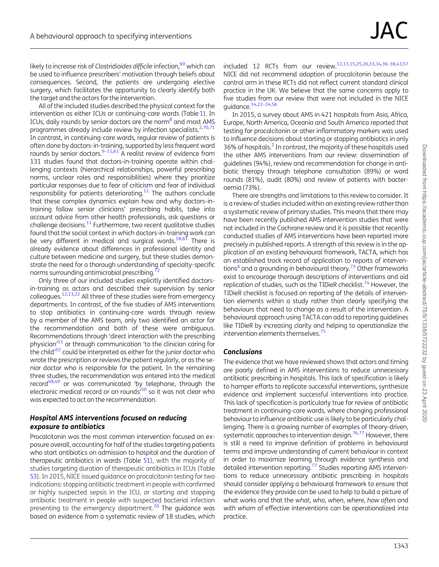<span id="page-5-0"></span>likely to increase risk of Clostridioides difficile infection.<sup>[69](#page-8-0)</sup> which can be used to influence prescribers' motivation through beliefs about consequences. Second, the patients are undergoing elective surgery, which facilitates the opportunity to clearly identify both the target and the actors for the intervention.

All of the included studies described the physical context for the intervention as either ICUs or continuing-care wards (Table [1\)](#page-2-0). In ICUs, daily rounds by senior doctors are the norm<sup>8</sup> and most AMS programmes already include review by infection specialists.<sup>2[,70,71](#page-8-0)</sup> In contrast, in continuing-care wards, regular review of patients is often done by doctors-in-training, supported by less frequent ward rounds by senior doctors.<sup>9-11[,61](#page-7-0)</sup> A realist review of evidence from 131 studies found that doctors-in-training operate within challenging contexts (hierarchical relationships, powerful prescribing norms, unclear roles and responsibilities) where they prioritize particular responses due to fear of criticism and fear of individual responsibility for patients deteriorating. $11$  The authors conclude that these complex dynamics explain how and why doctors-intraining follow senior clinicians' prescribing habits, take into account advice from other health professionals, ask questions or challenge decisions. $11$  Furthermore, two recent qualitative studies found that the social context in which doctors-in-training work can be very different in medical and surgical wards. $58,61$  $58,61$  $58,61$  There is already evidence about differences in professional identity and culture between medicine and surgery, but these studies demonstrate the need for a thorough understanding of specialty-specific norms surrounding antimicrobial prescribing.<sup>7</sup>

Only three of our included studies explicitly identified doctorsin-training as actors and described their supervision by senior colleagues[.12,13,22](#page-6-0) All three of these studies were from emergency departments. In contrast, of the five studies of AMS interventions to stop antibiotics in continuing-care wards through review by a member of the AMS team, only two identified an actor for the recommendation and both of these were ambiguous. Recommendations through 'direct interaction with the prescribing physician'[51](#page-7-0) or through communication 'to the clinician caring for the child<sup>'[52](#page-7-0)</sup> could be interpreted as either for the junior doctor who wrote the prescription or reviews the patient regularly, or as the senior doctor who is responsible for the patient. In the remaining three studies, the recommendation was entered into the medical record<sup>48,49</sup> or was communicated 'by telephone, through the electronic medical record or on rounds<sup>550</sup> so it was not clear who was expected to act on the recommendation.

#### Hospital AMS interventions focused on reducing exposure to antibiotics

Procalcitonin was the most common intervention focused on exposure overall, accounting for half of the studies targeting patients who start antibiotics on admission to hospital and the duration of therapeutic antibiotics in wards (Table [S1\)](https://academic.oup.com/jac/article-lookup/doi/10.1093/jac/dkaa001#supplementary-data), with the majority of studies targeting duration of therapeutic antibiotics in ICUs (Table [S3\)](https://academic.oup.com/jac/article-lookup/doi/10.1093/jac/dkaa001#supplementary-data). In 2015, NICE issued guidance on procalcitonin testing for two indications: stopping antibiotic treatment in people with confirmed or highly suspected sepsis in the ICU, or starting and stopping antibiotic treatment in people with suspected bacterial infection presenting to the emergency department.<sup>70</sup> The guidance was based on evidence from a systematic review of 18 studies, which

included 12 RCTs from our review.[12,13,15,25,26](#page-6-0)[,33,34,36–38,43,57](#page-7-0) NICE did not recommend adoption of procalcitonin because the control arm in these RCTs did not reflect current standard clinical practice in the UK. We believe that the same concerns apply to five studies from our review that were not included in the NICE guidance[.14,22–24,](#page-6-0)[56](#page-7-0)

In 2015, a survey about AMS in 421 hospitals from Asia, Africa, Europe, North America, Oceania and South America reported that testing for procalcitonin or other inflammatory markers was used to influence decisions about starting or stopping antibiotics in only 36% of hospitals.<sup>[2](#page-6-0)</sup> In contrast, the majority of these hospitals used the other AMS interventions from our review: dissemination of guidelines (94%), review and recommendation for change in antibiotic therapy through telephone consultation (89%) or ward rounds (81%), audit (80%) and review of patients with bacteraemia (73%).

There are strengths and limitations to this review to consider. It is a review of studies included within an existing review rather than a systematic review of primary studies. This means that there may have been recently published AMS intervention studies that were not included in the Cochrane review and it is possible that recently conducted studies of AMS interventions have been reported more precisely in published reports. A strength of this review is in the application of an existing behavioural framework, TACTA, which has an established track record of application to reports of interven-tions<sup>6</sup> and a grounding in behavioural theory.<sup>[73](#page-8-0)</sup> Other frameworks exist to encourage thorough descriptions of interventions and aid replication of studies, such as the TIDieR checklist.<sup>74</sup> However, the TIDieR checklist is focused on reporting of the details of intervention elements within a study rather than clearly specifying the behaviours that need to change as a result of the intervention. A behavioural approach using TACTA can add to reporting guidelines like TIDieR by increasing clarity and helping to operationalize the intervention elements themselves.<sup>75</sup>

#### Conclusions

The evidence that we have reviewed shows that actors and timing are poorly defined in AMS interventions to reduce unnecessary antibiotic prescribing in hospitals. This lack of specification is likely to hamper efforts to replicate successful interventions, synthesize evidence and implement successful interventions into practice. This lack of specification is particularly true for review of antibiotic treatment in continuing-care wards, where changing professional behaviour to influence antibiotic use is likely to be particularly challenging. There is a growing number of examples of theory-driven, systematic approaches to intervention design. $76,77$  $76,77$  $76,77$  However, there is still a need to improve definition of problems in behavioural terms and improve understanding of current behaviour in context in order to maximize learning through evidence synthesis and detailed intervention reporting.[77](#page-8-0) Studies reporting AMS interventions to reduce unnecessary antibiotic prescribing in hospitals should consider applying a behavioural framework to ensure that the evidence they provide can be used to help to build a picture of what works and that the what, who, when, where, how often and with whom of effective interventions can be operationalized into practice.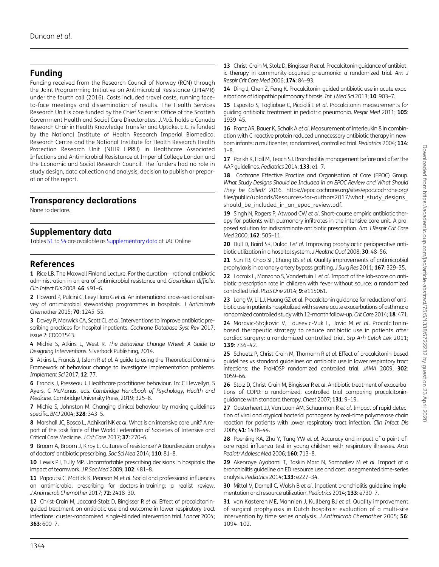# <span id="page-6-0"></span>Funding

Funding received from the Research Council of Norway (RCN) through the Joint Programming Initiative on Antimicrobial Resistance (JPIAMR) under the fourth call (2016). Costs included travel costs, running faceto-face meetings and dissemination of results. The Health Services Research Unit is core funded by the Chief Scientist Office of the Scottish Government Health and Social Care Directorates. J.M.G. holds a Canada Research Chair in Health Knowledge Transfer and Uptake. E.C. is funded by the National Institute of Health Research Imperial Biomedical Research Centre and the National Institute for Health Research Health Protection Research Unit (NIHR HPRU) in Healthcare Associated Infections and Antimicrobial Resistance at Imperial College London and the Economic and Social Research Council. The funders had no role in study design, data collection and analysis, decision to publish or preparation of the report.

## Transparency declarations

None to declare.

## Supplementary data

Tables [S1](https://academic.oup.com/jac/article-lookup/doi/10.1093/jac/dkaa001#supplementary-data) to [S4](https://academic.oup.com/jac/article-lookup/doi/10.1093/jac/dkaa001#supplementary-data) are available as [Supplementary data](https://academic.oup.com/jac/article-lookup/doi/10.1093/jac/dkaa001#supplementary-data) at JAC Online

# References

[1](#page-1-0) Rice LB. The Maxwell Finland Lecture: For the duration—rational antibiotic administration in an era of antimicrobial resistance and Clostridium difficile. Clin Infect Dis 2008; 46: 491–6.

[2](#page-1-0) Howard P, Pulcini C, Levy Hara G et al. An international cross-sectional survey of antimicrobial stewardship programmes in hospitals. J Antimicrob Chemother 2015; 70: 1245–55.

[3](#page-1-0) Davey P, Marwick CA, Scott CL et al. Interventions to improve antibiotic prescribing practices for hospital inpatients. Cochrane Database Syst Rev 2017; issue 2: CD003543.

[4](#page-1-0) Michie S, Atkins L, West R. The Behaviour Change Wheel: A Guide to Designing Interventions. Silverback Publishing, 2014.

[5](#page-1-0) Atkins L, Francis J, Islam R et al. A quide to using the Theoretical Domains Framework of behaviour change to investigate implementation problems. Implement Sci 2017; 12: 77.

[6](#page-1-0) Francis J, Presseau J. Healthcare practitioner behaviour. In: C Llewellyn, S Ayers, C McManus, eds. Cambridge Handbook of Psychology, Health and Medicine. Cambridge University Press, 2019; 325–8.

[7](#page-1-0) Michie S, Johnston M. Changing clinical behaviour by making guidelines specific. BMJ 2004; 328: 343–5.

[8](#page-1-0) Marshall JC, Bosco L, Adhikari NK et al. What is an intensive care unit? A report of the task force of the World Federation of Societies of Intensive and Critical Care Medicine. J Crit Care 2017; 37: 270–6.

[9](#page-4-0) Broom A, Broom J, Kirby E. Cultures of resistance? A Bourdieusian analysis of doctors' antibiotic prescribing. Soc Sci Med 2014; 110: 81–8.

[10](#page-4-0) Lewis PJ, Tully MP. Uncomfortable prescribing decisions in hospitals: the impact of teamwork. JR Soc Med 2009; 102: 481-8.

[11](#page-5-0) Papoutsi C, Mattick K, Pearson M et al. Social and professional influences on antimicrobial prescribing for doctors-in-training: a realist review. J Antimicrob Chemother 2017; 72: 2418–30.

[12](#page-3-0) Christ-Crain M, Jaccard-Stolz D, Bingisser R et al. Effect of procalcitoninguided treatment on antibiotic use and outcome in lower respiratory tract infections: cluster-randomised, single-blinded intervention trial. Lancet 2004; 363: 600–7.

[13](#page-3-0) Christ-Crain M, Stolz D, Bingisser R et al. Procalcitonin guidance of antibiotic therapy in community-acquired pneumonia: a randomized trial. Am J Respir Crit Care Med 2006; 174: 84–93.

[14](#page-5-0) Ding J, Chen Z, Feng K. Procalcitonin-guided antibiotic use in acute exacerbations of idiopathic pulmonary fibrosis. Int J Med Sci 2013; 10: 903-7.

[15](#page-5-0) Esposito S, Tagliabue C, Picciolli I et al. Procalcitonin measurements for guiding antibiotic treatment in pediatric pneumonia. Respir Med 2011; 105: 1939–45.

[16](#page-2-0) Franz AR, Bauer K, Schalk A et al. Measurement of interleukin 8 in combination with C-reactive protein reduced unnecessary antibiotic therapy in newborn infants: a multicenter, randomized, controlled trial. Pediatrics 2004; 114:  $1 - 8$ 

[17](#page-2-0) Parikh K, Hall M, Teach SJ. Bronchiolitis management before and after the AAP quidelines. Pediatrics 2014; 133: e1-7.

[18](#page-2-0) Cochrane Effective Practice and Organisation of Care (EPOC) Group. What Study Designs Should be Included in an EPOC Review and What Should They be Called? 2016. [https://epoc.cochrane.org/sites/epoc.cochrane.org/](https://epoc.cochrane.org/sites/epoc.cochrane.org/files/public/uploads/Resources-for-authors2017/what_study_designs_should_be_included_in_an_epoc_review.pdf) [files/public/uploads/Resources-for-authors2017/what\\_study\\_designs\\_](https://epoc.cochrane.org/sites/epoc.cochrane.org/files/public/uploads/Resources-for-authors2017/what_study_designs_should_be_included_in_an_epoc_review.pdf) should be included in an epoc review.pdf.

[19](#page-2-0) Singh N, Rogers P, Atwood CW et al. Short-course empiric antibiotic therapy for patients with pulmonary infiltrates in the intensive care unit. A proposed solution for indiscriminate antibiotic prescription. Am J Respir Crit Care Med 2000; 162: 505-11.

[20](#page-2-0) Dull D, Baird SK, Dulac J et al. Improving prophylactic perioperative antibiotic utilization in a hospital system. J Healthc Qual 2008; 30: 48–56.

[21](#page-2-0) Sun TB, Chao SF, Chang BS et al. Quality improvements of antimicrobial prophylaxis in coronary artery bypass grafting. J Surg Res 2011; 167: 329–35.

[22](#page-3-0) Lacroix L, Manzano S, Vandertuin L et al. Impact of the lab-score on antibiotic prescription rate in children with fever without source: a randomized controlled trial. PLoS One 2014; 9: e115061.

[23](#page-3-0) Long W, Li LJ, Huang GZ et al. Procalcitonin guidance for reduction of antibiotic use in patients hospitalized with severe acute exacerbations of asthma: a randomized controlled study with 12-month follow-up. Crit Care 2014; 18: 471.

[24](#page-3-0) Maravic-Stojkovic V, Lausevic-Vuk L, Jovic M et al. Procalcitoninbased therapeutic strategy to reduce antibiotic use in patients after cardiac surgery: a randomized controlled trial. Srp Arh Celok Lek 2011; 139: 736–42.

[25](#page-3-0) Schuetz P, Christ-Crain M, Thomann R et al. Effect of procalcitonin-based guidelines vs standard guidelines on antibiotic use in lower respiratory tract infections: the ProHOSP randomized controlled trial. JAMA 2009; 302: 1059–66.

[26](#page-3-0) Stolz D, Christ-Crain M, Bingisser R et al. Antibiotic treatment of exacerbations of COPD: a randomized, controlled trial comparing procalcitoninguidance with standard therapy. Chest 2007; 131: 9–19.

[27](#page-2-0) Oosterheert JJ, Van Loon AM, Schuurman R et al. Impact of rapid detection of viral and atypical bacterial pathogens by real-time polymerase chain reaction for patients with lower respiratory tract infection. Clin Infect Dis 2005; 41: 1438–44.

[28](#page-2-0) Poehling KA, Zhu Y, Tang YW et al. Accuracy and impact of a point-ofcare rapid influenza test in young children with respiratory illnesses. Arch Pediatr Adolesc Med 2006; 160: 713-8.

[29](#page-2-0) Akenroye Ayobami T, Baskin Marc N, Samnaliev M et al. Impact of a bronchiolitis guideline on ED resource use and cost: a segmented time-series analysis. Pediatrics 2014; 133: e227–34.

[30](#page-2-0) Mittal V, Darnell C, Walsh B et al. Inpatient bronchiolitis guideline implementation and resource utilization. Pediatrics 2014; 133: e730-7.

[31](#page-3-0) van Kasteren ME, Mannien J, Kullberg BJ et al. Quality improvement of surgical prophylaxis in Dutch hospitals: evaluation of a multi-site intervention by time series analysis. J Antimicrob Chemother 2005; 56: 1094–102.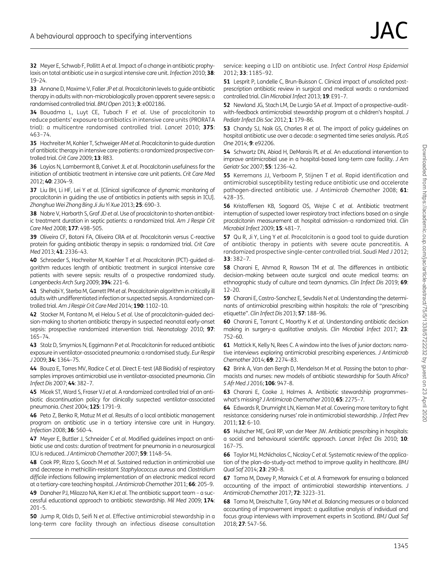<span id="page-7-0"></span>[32](#page-3-0) Meyer E, Schwab F, Pollitt A et al. Impact of a change in antibiotic prophylaxis on total antibiotic use in a surgical intensive care unit. Infection 2010; 38: 19–24.

[33](#page-5-0) Annane D, Maxime V, Faller JP et al. Procalcitonin levels to quide antibiotic therapy in adults with non-microbiologically proven apparent severe sepsis: a randomised controlled trial. BMJ Open 2013; 3: e002186.

[34](#page-5-0) Bouadma L, Luyt CE, Tubach F et al. Use of procalcitonin to reduce patients' exposure to antibiotics in intensive care units (PRORATA trial): a multicentre randomised controlled trial. Lancet 2010; 375: 463–74.

35 Hochreiter M, Kohler T, Schweiger AM et al. Procalcitonin to guide duration of antibiotic therapy in intensive care patients: a randomized prospective controlled trial. Crit Care 2009; 13: R83.

36 Layios N, Lambermont B, Canivet JL et al. Procalcitonin usefulness for the initiation of antibiotic treatment in intensive care unit patients. Crit Care Med 2012; 40: 2304–9.

37 Liu BH, Li HF, Lei Y et al. [Clinical significance of dynamic monitoring of procalcitonin in guiding the use of antibiotics in patients with sepsis in ICU]. Zhonghua Wei Zhong Bing Ji Jiu Yi Xue 2013; 25: 690–3.

38 Nobre V, Harbarth S, Graf JD et al. Use of procalcitonin to shorten antibiotic treatment duration in septic patients: a randomized trial. Am J Respir Crit Care Med 2008; 177: 498-505.

39 Oliveira CF, Botoni FA, Oliveira CRA et al. Procalcitonin versus C-reactive protein for guiding antibiotic therapy in sepsis: a randomized trial. Crit Care Med 2013; 41: 2336–43.

40 Schroeder S, Hochreiter M, Koehler T et al. Procalcitonin (PCT)-quided algorithm reduces length of antibiotic treatment in surgical intensive care patients with severe sepsis: results of a prospective randomized study. Langenbecks Arch Surg 2009; 394: 221–6.

41 Shehabi Y, Sterba M, Garrett PM et al. Procalcitonin algorithm in critically ill adults with undifferentiated infection or suspected sepsis. A randomized controlled trial. Am J Respir Crit Care Med 2014; 190: 1102-10.

42 Stocker M, Fontana M, el Helou S et al. Use of procalcitonin-guided decision-making to shorten antibiotic therapy in suspected neonatal early-onset sepsis: prospective randomized intervention trial. Neonatology 2010; 97: 165–74.

[43](#page-5-0) Stolz D, Smyrnios N, Eggimann P et al. Procalcitonin for reduced antibiotic exposure in ventilator-associated pneumonia: a randomised study. Eur Respir J 2009; 34: 1364–75.

44 Bouza E, Torres MV, Radice C et al. Direct E-test (AB Biodisk) of respiratory samples improves antimicrobial use in ventilator-associated pneumonia. Clin Infect Dis 2007; 44: 382–7.

45 Micek ST, Ward S, Fraser VJ et al. A randomized controlled trial of an antibiotic discontinuation policy for clinically suspected ventilator-associated pneumonia. Chest 2004; 125: 1791–9.

[46](#page-3-0) Peto Z, Benko R, Matuz M et al. Results of a local antibiotic management program on antibiotic use in a tertiary intensive care unit in Hungary. Infection 2008; 36: 560–4.

[47](#page-3-0) Meyer E, Buttler J, Schneider C et al. Modified guidelines impact on antibiotic use and costs: duration of treatment for pneumonia in a neurosurgical ICU is reduced. J Antimicrob Chemother 2007; 59: 1148–54.

[48](#page-3-0) Cook PP, Rizzo S, Gooch M et al. Sustained reduction in antimicrobial use and decrease in methicillin-resistant Staphylococcus aureus and Clostridium difficile infections following implementation of an electronic medical record at a tertiary-care teaching hospital. J Antimicrob Chemother 2011; 66: 205–9.

[49](#page-3-0) Danaher PJ, Milazzo NA, Kerr KJ et al. The antibiotic support team - a successful educational approach to antibiotic stewardship. Mil Med 2009; 174: 201–5.

[50](#page-3-0) Jump R, Olds D, Seifi N et al. Effective antimicrobial stewardship in a long-term care facility through an infectious disease consultation service: keeping a LID on antibiotic use. Infect Control Hosp Epidemiol 2012; 33: 1185–92.

[51](#page-3-0) Lesprit P, Landelle C, Brun-Buisson C. Clinical impact of unsolicited postprescription antibiotic review in surgical and medical wards: a randomized controlled trial. Clin Microbiol Infect 2013; 19: E91–7.

[52](#page-5-0) Newland JG, Stach LM, De Lurgio SA et al. Impact of a prospective-auditwith-feedback antimicrobial stewardship program at a children's hospital. J Pediatr Infect Dis Soc 2012; 1: 179-86.

[53](#page-4-0) Chandy SJ, Naik GS, Charles R et al. The impact of policy quidelines on hospital antibiotic use over a decade: a segmented time series analysis. PLoS One 2014; 9: e92206.

[54](#page-4-0) Schwartz DN, Abiad H, DeMarais PL et al. An educational intervention to improve antimicrobial use in a hospital-based long-term care facility. J Am Geriatr Soc 2007; 55: 1236–42.

[55](#page-4-0) Kerremans JJ, Verboom P, Stijnen T et al. Rapid identification and antimicrobial susceptibility testing reduce antibiotic use and accelerate pathogen-directed antibiotic use. J Antimicrob Chemother 2008; 61: 428–35.

[56](#page-4-0) Kristoffersen KB, Sogaard OS, Wejse C et al. Antibiotic treatment interruption of suspected lower respiratory tract infections based on a single procalcitonin measurement at hospital admission–a randomized trial. Clin Microbiol Infect 2009; 15: 481–7.

[57](#page-4-0) Qu R, Ji Y, Ling Y et al. Procalcitonin is a good tool to guide duration of antibiotic therapy in patients with severe acute pancreatitis. A randomized prospective single-center controlled trial. Saudi Med J 2012; 33: 382–7.

**[58](#page-5-0)** Charani E, Ahmad R, Rawson TM et al. The differences in antibiotic decision-making between acute surgical and acute medical teams: an ethnographic study of culture and team dynamics. Clin Infect Dis 2019; 69: 12–20.

59 Charani E, Castro-Sanchez E, Sevdalis N et al. Understanding the determinants of antimicrobial prescribing within hospitals: the role of "prescribing etiquette". Clin Infect Dis 2013; 57: 188–96.

60 Charani E, Tarrant C, Moorthy K et al. Understanding antibiotic decision making in surgery-a qualitative analysis. Clin Microbiol Infect 2017; 23: 752–60.

[61](#page-5-0) Mattick K, Kelly N, Rees C. A window into the lives of junior doctors: narrative interviews exploring antimicrobial prescribing experiences. J Antimicrob Chemother 2014; 69: 2274–83.

62 Brink A, Van den Bergh D, Mendelson M et al. Passing the baton to pharmacists and nurses: new models of antibiotic stewardship for South Africa? S Afr Med J 2016; 106: 947-8.

63 Charani E, Cooke J, Holmes A. Antibiotic stewardship programmes– what's missing? J Antimicrob Chemother 2010; 65: 2275–7.

64 Edwards R, Drumright LN, Kiernan M et al. Covering more territory to fight resistance: considering nurses' role in antimicrobial stewardship. J Infect Prev 2011; 12: 6–10.

65 Hulscher ME, Grol RP, van der Meer JW. Antibiotic prescribing in hospitals: a social and behavioural scientific approach. Lancet Infect Dis 2010; 10: 167–75.

66 Taylor MJ, McNicholas C, Nicolay C et al. Systematic review of the application of the plan-do-study-act method to improve quality in healthcare. BMJ Qual Saf 2014; 23: 290–8.

67 Toma M, Davey P, Marwick C et al. A framework for ensuring a balanced accounting of the impact of antimicrobial stewardship interventions. J Antimicrob Chemother 2017; 72: 3223–31.

68 Toma M, Dreischulte T, Gray NM et al. Balancing measures or a balanced accounting of improvement impact: a qualitative analysis of individual and focus group interviews with improvement experts in Scotland. BMJ Qual Saf 2018; 27: 547–56.